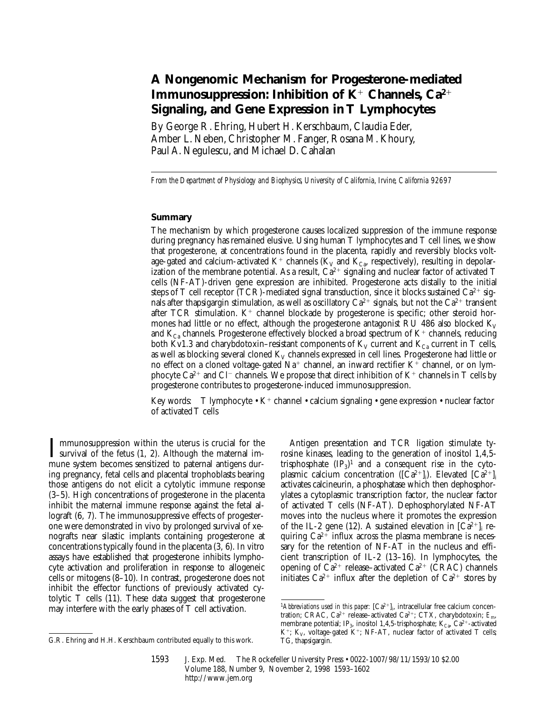# **A Nongenomic Mechanism for Progesterone-mediated Immunosuppression: Inhibition of K<sup>+</sup> Channels, Ca<sup>2+</sup> Signaling, and Gene Expression in T Lymphocytes**

By George R. Ehring, Hubert H. Kerschbaum, Claudia Eder, Amber L. Neben, Christopher M. Fanger, Rosana M. Khoury, Paul A. Negulescu, and Michael D. Cahalan

*From the Department of Physiology and Biophysics, University of California, Irvine, California 92697*

## **Summary**

The mechanism by which progesterone causes localized suppression of the immune response during pregnancy has remained elusive. Using human T lymphocytes and T cell lines, we show that progesterone, at concentrations found in the placenta, rapidly and reversibly blocks voltage-gated and calcium-activated K<sup>+</sup> channels (K<sub>V</sub> and K<sub>Ca</sub>, respectively), resulting in depolarization of the membrane potential. As a result,  $Ca^{2+}$  signaling and nuclear factor of activated T cells (NF-AT)-driven gene expression are inhibited. Progesterone acts distally to the initial steps of T cell receptor (TCR)-mediated signal transduction, since it blocks sustained  $Ca^{2+}$  signals after thapsigargin stimulation, as well as oscillatory  $Ca^{2+}$  signals, but not the  $Ca^{2+}$  transient after TCR stimulation.  $K^+$  channel blockade by progesterone is specific; other steroid hormones had little or no effect, although the progesterone antagonist RU 486 also blocked  $K_V$ and  $K_{Ca}$  channels. Progesterone effectively blocked a broad spectrum of  $K^+$  channels, reducing both Kv1.3 and charybdotoxin–resistant components of  $K_V$  current and  $K_{Ca}$  current in T cells, as well as blocking several cloned  $K_V$  channels expressed in cell lines. Progesterone had little or no effect on a cloned voltage-gated  $Na^+$  channel, an inward rectifier K<sup>+</sup> channel, or on lymphocyte Ca<sup>2+</sup> and Cl<sup>-</sup> channels. We propose that direct inhibition of K<sup>+</sup> channels in T cells by progesterone contributes to progesterone-induced immunosuppression.

Key words: T lymphocyte • K<sup>+</sup> channel • calcium signaling • gene expression • nuclear factor of activated T cells

 $\prod$  mmunosuppression within the uterus is crucial for the survival of the fetus  $(1, 2)$ . Although the maternal immune system becomes sensitized to paternal antigens during pregnancy, fetal cells and placental trophoblasts bearing those antigens do not elicit a cytolytic immune response (3–5). High concentrations of progesterone in the placenta inhibit the maternal immune response against the fetal allograft (6, 7). The immunosuppressive effects of progesterone were demonstrated in vivo by prolonged survival of xenografts near silastic implants containing progesterone at concentrations typically found in the placenta (3, 6). In vitro assays have established that progesterone inhibits lymphocyte activation and proliferation in response to allogeneic cells or mitogens (8–10). In contrast, progesterone does not inhibit the effector functions of previously activated cytolytic T cells (11). These data suggest that progesterone may interfere with the early phases of T cell activation.

Antigen presentation and TCR ligation stimulate tyrosine kinases, leading to the generation of inositol 1,4,5 trisphosphate  $(\text{IP}_3)^1$  and a consequent rise in the cytoplasmic calcium concentration ([Ca<sup>2+</sup>]<sub>i</sub>). Elevated [Ca<sup>2+</sup>]<sub>i</sub> activates calcineurin, a phosphatase which then dephosphorylates a cytoplasmic transcription factor, the nuclear factor of activated T cells (NF-AT). Dephosphorylated NF-AT moves into the nucleus where it promotes the expression of the IL-2 gene (12). A sustained elevation in  $\left[Ca^{2+}\right]_i$  requiring  $Ca^{2+}$  influx across the plasma membrane is necessary for the retention of NF-AT in the nucleus and efficient transcription of IL-2 (13–16). In lymphocytes, the opening of  $Ca^{2+}$  release–activated  $Ca^{2+}$  (CRAC) channels initiates  $Ca^{2+}$  influx after the depletion of  $Ca^{2+}$  stores by

G.R. Ehring and H.H. Kerschbaum contributed equally to this work.

<sup>&</sup>lt;sup>1</sup>Abbreviations used in this paper:  $[Ca^{2+}]$ , intracellular free calcium concentration; CRAC,  $Ca^{2+}$  release–activated  $Ca^{2+}$ ; CTX, charybdotoxin;  $E_{m}$ , membrane potential; IP<sub>3</sub>, inositol 1,4,5-trisphosphate; K<sub>Ca</sub>, Ca<sup>2+</sup>-activated K<sup>+</sup>; K<sub>V</sub>, voltage-gated K<sup>+</sup>; NF-AT, nuclear factor of activated T cells; TG, thapsigargin.

<sup>1593</sup> J. Exp. Med. The Rockefeller University Press • 0022-1007/98/11/1593/10 \$2.00 Volume 188, Number 9, November 2, 1998 1593–1602 http://www.jem.org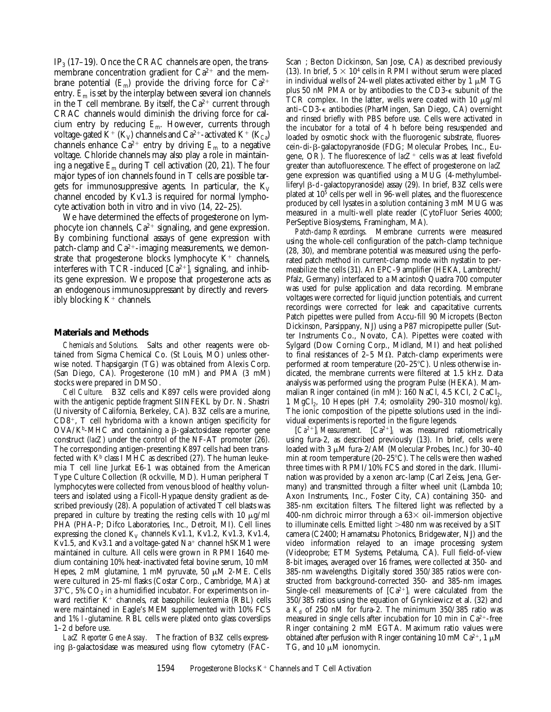IP<sub>3</sub> (17–19). Once the CRAC channels are open, the transmembrane concentration gradient for  $Ca^{2+}$  and the membrane potential  $(E_m)$  provide the driving force for  $Ca^{2+}$ entry.  $\bar{E}_{\rm m}$  is set by the interplay between several ion channels in the T cell membrane. By itself, the  $Ca^{2+}$  current through CRAC channels would diminish the driving force for calcium entry by reducing *E*m. However, currents through voltage-gated K<sup>+</sup> (K<sub>V</sub>) channels and Ca<sup>2+</sup>-activated K<sup>+</sup> (K<sub>Ca</sub>) channels enhance  $Ca^{2+}$  entry by driving  $E_m$  to a negative voltage. Chloride channels may also play a role in maintaining a negative *E*m during T cell activation (20, 21). The four major types of ion channels found in T cells are possible targets for immunosuppressive agents. In particular, the  $K_V$ channel encoded by Kv1.3 is required for normal lymphocyte activation both in vitro and in vivo (14, 22–25).

We have determined the effects of progesterone on lymphocyte ion channels,  $Ca^{2+}$  signaling, and gene expression. By combining functional assays of gene expression with patch-clamp and  $Ca^{2+}$ -imaging measurements, we demonstrate that progesterone blocks lymphocyte  $K^+$  channels, interferes with TCR-induced  $\left[Ca^{2+}\right]_i$  signaling, and inhibits gene expression. We propose that progesterone acts as an endogenous immunosuppressant by directly and reversibly blocking  $K^+$  channels.

## **Materials and Methods**

*Chemicals and Solutions.* Salts and other reagents were obtained from Sigma Chemical Co. (St Louis, MO) unless otherwise noted. Thapsigargin (TG) was obtained from Alexis Corp. (San Diego, CA). Progesterone (10 mM) and PMA (3 mM) stocks were prepared in DMSO.

*Cell Culture.* B3Z cells and K897 cells were provided along with the antigenic peptide fragment SIINFEKL by Dr. N. Shastri (University of California, Berkeley, CA). B3Z cells are a murine,  $CD8^+$ , T cell hybridoma with a known antigen specificity for  $OVA/K<sup>b</sup>$ -MHC and containing a  $\beta$ -galactosidase reporter gene construct (*lacZ*) under the control of the NF-AT promoter (26). The corresponding antigen-presenting K897 cells had been transfected with  $K^b$  class I MHC as described (27). The human leukemia T cell line Jurkat E6-1 was obtained from the American Type Culture Collection (Rockville, MD). Human peripheral T lymphocytes were collected from venous blood of healthy volunteers and isolated using a Ficoll-Hypaque density gradient as described previously (28). A population of activated  $\tilde{T}$  cell blasts was prepared in culture by treating the resting cells with 10  $\mu$ g/ml PHA (PHA-P; Difco Laboratories, Inc., Detroit, MI). Cell lines expressing the cloned  $K_V$  channels Kv1.1, Kv1.2, Kv1.3, Kv1.4, Kv1.5, and Kv3.1 and a voltage-gated  $Na^+$  channel hSKM1 were maintained in culture. All cells were grown in RPMI 1640 medium containing 10% heat-inactivated fetal bovine serum, 10 mM Hepes, 2 mM glutamine, 1 mM pyruvate, 50  $\mu$ M 2-ME. Cells were cultured in 25-ml flasks (Costar Corp., Cambridge, MA) at  $37^{\circ}$ C, 5% CO<sub>2</sub> in a humidified incubator. For experiments on inward rectifier  $K^+$  channels, rat basophilic leukemia (RBL) cells were maintained in Eagle's MEM supplemented with 10% FCS and 1% l-glutamine. RBL cells were plated onto glass coverslips 1–2 d before use.

*LacZ Reporter Gene Assay.* The fraction of B3Z cells expressing  $\beta$ -galactosidase was measured using flow cytometry (FAC- Scan<sup>®</sup>: Becton Dickinson, San Jose, CA) as described previously (13). In brief,  $5 \times 10^4$  cells in RPMI without serum were placed in individual wells of 24-well plates activated either by 1  $\mu$ M TG plus 50 nM PMA or by antibodies to the CD3-e subunit of the TCR complex. In the latter, wells were coated with 10  $\mu$ g/ml anti–CD3-e antibodies (PharMingen, San Diego, CA) overnight and rinsed briefly with PBS before use. Cells were activated in the incubator for a total of 4 h before being resuspended and loaded by osmotic shock with the fluorogenic substrate, fluorescein-di-b-galactopyranoside (FDG; Molecular Probes, Inc., Eugene, OR). The fluorescence of  $lacZ^+$  cells was at least fivefold greater than autofluorescence. The effect of progesterone on *lacZ* gene expression was quantified using a MUG (4-methylumbelliferyl b-d-galactopyranoside) assay (29). In brief, B3Z cells were plated at 105 cells per well in 96-well plates, and the fluorescence produced by cell lysates in a solution containing 3 mM MUG was measured in a multi-well plate reader (CytoFluor Series 4000; PerSeptive Biosystems, Framingham, MA).

*Patch-clamp Recordings.* Membrane currents were measured using the whole-cell configuration of the patch-clamp technique (28, 30), and membrane potential was measured using the perforated patch method in current-clamp mode with nystatin to permeabilize the cells (31). An EPC-9 amplifier (HEKA, Lambrecht/ Pfalz, Germany) interfaced to a Macintosh Quadra 700 computer was used for pulse application and data recording. Membrane voltages were corrected for liquid junction potentials, and current recordings were corrected for leak and capacitative currents. Patch pipettes were pulled from Accu-fill 90 Micropets (Becton Dickinson, Parsippany, NJ) using a P87 micropipette puller (Sutter Instruments Co., Novato, CA). Pipettes were coated with Sylgard (Dow Corning Corp., Midland, MI) and heat polished to final resistances of  $2-5$  M $\Omega$ . Patch-clamp experiments were performed at room temperature  $(20-25^{\circ}C)$ . Unless otherwise indicated, the membrane currents were filtered at 1.5 kHz. Data analysis was performed using the program Pulse (HEKA). Mammalian Ringer contained (in mM): 160 NaCl, 4.5 KCl, 2 CaCl<sub>2</sub>, 1 MgCl<sub>2</sub>, 10 Hepes (pH 7.4; osmolality 290-310 mosmol/kg). The ionic composition of the pipette solutions used in the individual experiments is reported in the figure legends.

 $\left[Ca^{2+}\right]_i$  *Measurement.*  $\left[Ca^{2+}\right]_i$  was measured ratiometrically using fura-2, as described previously (13). In brief, cells were loaded with 3  $\mu$ M fura-2/AM (Molecular Probes, Inc.) for 30-40 min at room temperature (20–25 $^{\circ}$ C). The cells were then washed three times with RPMI/10% FCS and stored in the dark. Illumination was provided by a xenon arc-lamp (Carl Zeiss, Jena, Germany) and transmitted through a filter wheel unit (Lambda 10; Axon Instruments, Inc., Foster City, CA) containing 350- and 385-nm excitation filters. The filtered light was reflected by a 400-nm dichroic mirror through a  $63\times$  oil-immersion objective to illuminate cells. Emitted light  $>480$  nm was received by a SIT camera (C2400; Hamamatsu Photonics, Bridgewater, NJ) and the video information relayed to an image processing system (Videoprobe; ETM Systems, Petaluma, CA). Full field-of-view 8-bit images, averaged over 16 frames, were collected at 350- and 385-nm wavelengths. Digitally stored 350/385 ratios were constructed from background-corrected 350- and 385-nm images. Single-cell measurements of  $[Ca^{2+}]_i$  were calculated from the 350/385 ratios using the equation of Grynkiewicz et al. (32) and a  $K_d$  of 250 nM for fura-2. The minimum 350/385 ratio was measured in single cells after incubation for 10 min in  $Ca^{2+}$ -free Ringer containing 2 mM EGTA. Maximum ratio values were obtained after perfusion with Ringer containing 10 mM Ca<sup>2+</sup>, 1  $\mu$ M TG, and 10  $\mu$ M ionomycin.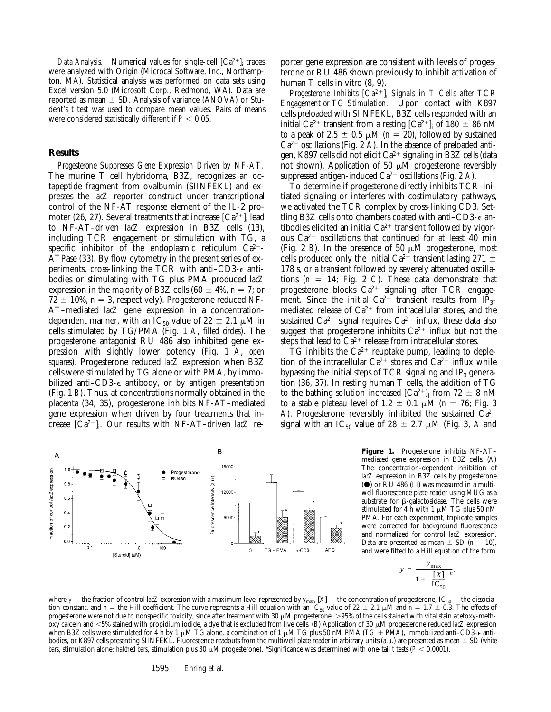*Data Analysis.* Numerical values for single-cell  $\left[Ca^{2+}\right]_i$  traces were analyzed with Origin (Microcal Software, Inc., Northampton, MA). Statistical analysis was performed on data sets using Excel version 5.0 (Microsoft Corp., Redmond, WA). Data are reported as mean  $\pm$  SD. Analysis of variance (ANOVA) or Student's *t* test was used to compare mean values. Pairs of means were considered statistically different if  $P < 0.05$ .

## **Results**

*Progesterone Suppresses Gene Expression Driven by NF-AT.* The murine T cell hybridoma, B3Z, recognizes an octapeptide fragment from ovalbumin (SIINFEKL) and expresses the *lacZ* reporter construct under transcriptional control of the NF-AT response element of the IL-2 promoter (26, 27). Several treatments that increase  $\left[C\mathrm{a}^{2+}\right]_{\mathrm{i}}$  lead to NF-AT–driven *lacZ* expression in B3Z cells (13), including TCR engagement or stimulation with TG, a specific inhibitor of the endoplasmic reticulum  $Ca^{2+}$ -ATPase (33). By flow cytometry in the present series of experiments, cross-linking the TCR with anti–CD3-e antibodies or stimulating with TG plus PMA produced *lacZ* expression in the majority of B3Z cells (60  $\pm$  4%, *n* = 7; or  $72 \pm 10\%$ ,  $n = 3$ , respectively). Progesterone reduced NF-AT–mediated *lacZ* gene expression in a concentrationdependent manner, with an  $\overline{IC}_{50}$  value of 22  $\pm$  2.1  $\mu$ M in cells stimulated by TG/PMA (Fig. 1 *A*, *filled circles*). The progesterone antagonist RU 486 also inhibited gene expression with slightly lower potency (Fig. 1 *A*, *open squares*). Progesterone reduced *lacZ* expression when B3Z cells were stimulated by TG alone or with PMA, by immobilized anti–CD3-e antibody, or by antigen presentation (Fig. 1 *B*). Thus, at concentrations normally obtained in the placenta (34, 35), progesterone inhibits NF-AT–mediated gene expression when driven by four treatments that increase  $[Ca^{2+}]_i$ . Our results with NF-AT-driven *lacZ* re-

porter gene expression are consistent with levels of progesterone or RU 486 shown previously to inhibit activation of human T cells in vitro (8, 9).

*Progesterone Inhibits* [*Ca2*<sup>1</sup>]*<sup>i</sup> Signals in T Cells after TCR Engagement or TG Stimulation.* Upon contact with K897 cells preloaded with SIINFEKL, B3Z cells responded with an initial Ca<sup>2+</sup> transient from a resting [Ca<sup>2+</sup>]<sub>i</sub> of 180  $\pm$  86 nM to a peak of 2.5  $\pm$  0.5  $\mu$ M (*n* = 20), followed by sustained  $Ca^{2+}$  oscillations (Fig. 2 A). In the absence of preloaded antigen, K897 cells did not elicit  $Ca^{2+}$  signaling in B3Z cells (data not shown). Application of 50  $\mu$ M progesterone reversibly suppressed antigen-induced Ca<sup>2+</sup> oscillations (Fig. 2 *A*).

To determine if progesterone directly inhibits TCR-initiated signaling or interferes with costimulatory pathways, we activated the TCR complex by cross-linking CD3. Settling B3Z cells onto chambers coated with anti–CD3-e antibodies elicited an initial  $Ca^{2+}$  transient followed by vigorous  $Ca^{2+}$  oscillations that continued for at least 40 min (Fig. 2 *B*). In the presence of 50  $\mu$ M progesterone, most cells produced only the initial Ca<sup>2+</sup> transient lasting 271  $\pm$ 178 s, or a transient followed by severely attenuated oscillations  $(n = 14;$  Fig. 2 *C*). These data demonstrate that progesterone blocks  $Ca^{2+}$  signaling after TCR engagement. Since the initial  $Ca^{2+}$  transient results from IP<sub>3</sub>mediated release of  $Ca^{2+}$  from intracellular stores, and the sustained  $Ca^{2+}$  signal requires  $Ca^{2+}$  influx, these data also suggest that progesterone inhibits  $Ca^{2+}$  influx but not the steps that lead to  $Ca^{2+}$  release from intracellular stores.

 $\overline{TC}$  inhibits the  $Ca^{2+}$  reuptake pump, leading to depletion of the intracellular  $Ca^{2+}$  stores and  $Ca^{2+}$  influx while bypassing the initial steps of TCR signaling and  $IP_3$  generation (36, 37). In resting human T cells, the addition of TG to the bathing solution increased  $[Ca^{2+}]_i$  from 72  $\pm$  8 nM to a stable plateau level of 1.2  $\pm$  0.1  $\mu$ M (*n* = 76; Fig. 3 A). Progesterone reversibly inhibited the sustained  $\overline{Ca^{2+}}$ signal with an IC<sub>50</sub> value of 28  $\pm$  2.7  $\mu$ M (Fig. 3, *A* and



**Figure 1.** Progesterone inhibits NF-AT– mediated gene expression in B3Z cells. (*A*) The concentration-dependent inhibition of *lacZ* expression in B3Z cells by progesterone ( $\bullet$ ) or RU 486 ( $\square$ ) was measured in a multiwell fluorescence plate reader using MUG as a substrate for  $\beta$ -galactosidase. The cells were stimulated for 4 h with 1  $\mu$ M TG plus 50 nM PMA. For each experiment, triplicate samples were corrected for background fluorescence and normalized for control *lacZ* expression. Data are presented as mean  $\pm$  SD ( $n = 10$ ), and were fitted to a Hill equation of the form

$$
r = \frac{y_{\text{max}}}{1 + \left(\frac{[X]}{IC_{50}}\right)^n},
$$

*y*

where  $y =$  the fraction of control *lacZ* expression with a maximum level represented by  $y_{\text{max}}$ ,  $[X] =$  the concentration of progesterone,  $IC_{50} =$  the dissociation constant, and  $n =$  the Hill coefficient. The curve represents a Hill equation with an  $IC_{50}$  value of  $22 \pm 2.1 \mu M$  and  $n = 1.7 \pm 0.3$ . The effects of progesterone were not due to nonspecific toxicity, since after treatment with  $30 \mu M$  progesterone,  $>95\%$  of the cells stained with vital stain acetoxy-methoxy calcein and <5% stained with propidium iodide, a dye that is excluded from live cells. (*B*) Application of 30 µM progesterone reduced *lacZ* expression when B3Z cells were stimulated for 4 h by 1  $\mu$ M TG alone, a combination of 1  $\mu$ M TG plus 50 nM PMA ( $TG$  +  $PMA$ ), immobilized anti–CD3- $\epsilon$  antibodies, or K897 cells presenting SIINFEKL. Fluorescence readouts from the multiwell plate reader in arbitrary units  $(a.u.)$  are presented as mean  $\pm$  SD (*white bars*, stimulation alone; *hatched bars*, stimulation plus 30  $\mu$ M progesterone). \*Significance was determined with one-tail *t* tests (*P* < 0.0001).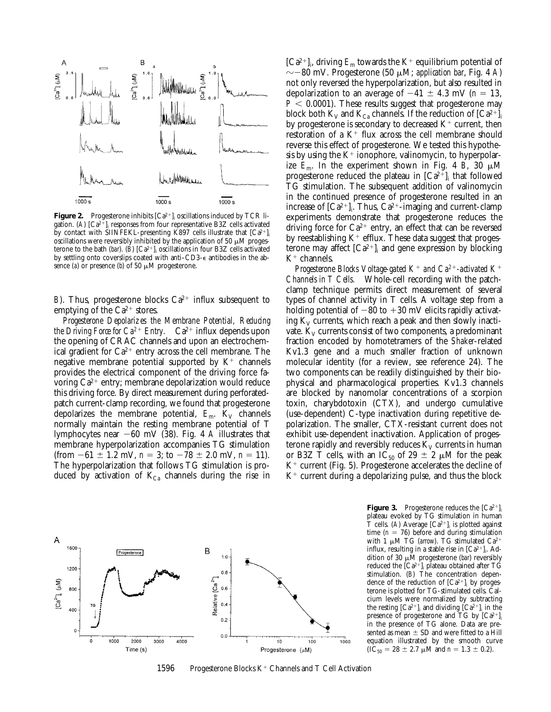

**Figure 2.** Progesterone inhibits  $\left[Ca^{2+}\right]_{\text{i}}$  oscillations induced by TCR ligation. (A)  $\left[Ca^{2+}\right]_{i}$  responses from four representative B3Z cells activated by contact with SIINFEKL-presenting K897 cells illustrate that  $[Ca^{2+}]_i$ oscillations were reversibly inhibited by the application of 50  $\mu$ M progesterone to the bath (*bar*). (*B*)  $[Ca^{2+}]_i$  oscillations in four B3Z cells activated by settling onto coverslips coated with anti–CD3-e antibodies in the absence (*a*) or presence (*b*) of 50  $\mu$ M progesterone.

*B*). Thus, progesterone blocks  $Ca^{2+}$  influx subsequent to emptying of the  $Ca^{2+}$  stores.

*Progesterone Depolarizes the Membrane Potential, Reducing the Driving Force for*  $Ca^{2+}$  *Entry.*  $Ca^{2+}$  influx depends upon the opening of CRAC channels and upon an electrochemical gradient for  $Ca^{2+}$  entry across the cell membrane. The negative membrane potential supported by  $K^+$  channels provides the electrical component of the driving force favoring  $Ca^{2+}$  entry; membrane depolarization would reduce this driving force. By direct measurement during perforatedpatch current-clamp recording, we found that progesterone depolarizes the membrane potential,  $E_m$ . K<sub>V</sub> channels normally maintain the resting membrane potential of T lymphocytes near 260 mV (38). Fig. 4 *A* illustrates that membrane hyperpolarization accompanies TG stimulation (from  $-61 \pm 1.2$  mV,  $n = 3$ ; to  $-78 \pm 2.0$  mV,  $n = 11$ ). The hyperpolarization that follows TG stimulation is produced by activation of  $K_{Ca}$  channels during the rise in

 $[Ca^{2+}]_i$ , driving  $E_m$  towards the K<sup>+</sup> equilibrium potential of  $\sim$  –80 mV. Progesterone (50  $\mu$ M; *application bar*, Fig. 4 *A*) not only reversed the hyperpolarization, but also resulted in depolarization to an average of  $-41 \pm 4.3$  mV ( $n = 13$ ,  $P < 0.0001$ ). These results suggest that progesterone may block both  $K_V$  and  $K_{Ca}$  channels. If the reduction of  $[Ca^{2+}]_i$ by progesterone is secondary to decreased  $K^+$  current, then restoration of a  $K^+$  flux across the cell membrane should reverse this effect of progesterone. We tested this hypothesis by using the  $K^+$  ionophore, valinomycin, to hyperpolarize  $E_m$ . In the experiment shown in Fig. 4 *B*, 30  $\mu$ M progesterone reduced the plateau in  $\left[Ca^{2+}\right]_{i}$  that followed TG stimulation. The subsequent addition of valinomycin in the continued presence of progesterone resulted in an increase of  $\left[Ca^{2+}\right]_{i}$ . Thus,  $Ca^{2+}$ -imaging and current-clamp experiments demonstrate that progesterone reduces the driving force for  $Ca^{2+}$  entry, an effect that can be reversed by reestablishing  $K^+$  efflux. These data suggest that progesterone may affect  $\left[Ca^{2+}\right]_i$  and gene expression by blocking  $K^+$  channels.

*Progesterone Blocks Voltage-gated K<sup>+</sup> and*  $Ca^{2+}$ *-activated K<sup>+</sup> Channels in T Cells.* Whole-cell recording with the patchclamp technique permits direct measurement of several types of channel activity in T cells. A voltage step from a holding potential of  $-80$  to  $+30$  mV elicits rapidly activating  $K_V$  currents, which reach a peak and then slowly inactivate.  $K_V$  currents consist of two components, a predominant fraction encoded by homotetramers of the *Shaker*-related Kv1.3 gene and a much smaller fraction of unknown molecular identity (for a review, see reference 24). The two components can be readily distinguished by their biophysical and pharmacological properties. Kv1.3 channels are blocked by nanomolar concentrations of a scorpion toxin, charybdotoxin (CTX), and undergo cumulative (use-dependent) C-type inactivation during repetitive depolarization. The smaller, CTX-resistant current does not exhibit use-dependent inactivation. Application of progesterone rapidly and reversibly reduces  $K_V$  currents in human or B3Z T cells, with an IC<sub>50</sub> of 29  $\pm$  2  $\mu$ M for the peak  $K^+$  current (Fig. 5). Progesterone accelerates the decline of  $K^+$  current during a depolarizing pulse, and thus the block



1596 Progesterone Blocks  $K^+$  Channels and T Cell Activation

**Figure 3.** Progesterone reduces the  $[Ca^{2+}]$ plateau evoked by TG stimulation in human T cells. (*A*) Average  $[Ca^{2+}]$ <sub>i</sub> is plotted against time  $(n = 76)$  before and during stimulation with 1  $\mu$ M TG (*arrow*). TG stimulated Ca<sup>2</sup> influx, resulting in a stable rise in  $[Ca^{2+}]_i$ . Addition of 30 μM progesterone (*bar*) reversibly reduced the  $\left[{\rm Ca^{2+}}\right]_{\rm i}$  plateau obtained after  ${\rm TG}$ stimulation. (*B*) The concentration dependence of the reduction of  $[Ca^{2+}]_i$  by progesterone is plotted for TG-stimulated cells. Calcium levels were normalized by subtracting the resting  $[Ca^{2+}]_i$  and dividing  $[Ca^{2+}]_i$  in the presence of progesterone and TG by  $[Ca^{2+}]$ <sub>i</sub> in the presence of TG alone. Data are presented as mean  $\pm$  SD and were fitted to a Hill equation illustrated by the smooth curve  $(IC_{50} = 28 \pm 2.7 \mu M$  and  $n = 1.3 \pm 0.2$ ).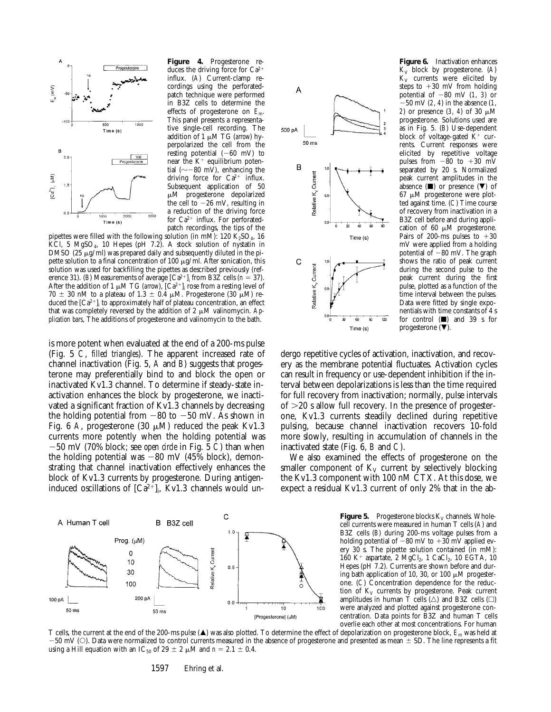

**Figure 4.** Progesterone reduces the driving force for  $Ca^{2+}$ influx. (*A*) Current-clamp recordings using the perforatedpatch technique were performed in B3Z cells to determine the effects of progesterone on *E*m. This panel presents a representative single-cell recording. The addition of 1 μM TG (arrow) hyperpolarized the cell from the resting potential  $(-60 \text{ mV})$  to near the  $K^+$  equilibrium potential ( $\sim$ -80 mV), enhancing the driving force for  $Ca^{2+}$  influx. Subsequent application of 50 mM progesterone depolarized the cell to  $-26$  mV, resulting in a reduction of the driving force for  $Ca^{2+}$  influx. For perforatedpatch recordings, the tips of the

pipettes were filled with the following solution (in mM): 120  $\text{K}_2\text{SO}_4$ , 16 KCl, 5 MgSO<sub>4</sub>, 10 Hepes (pH 7.2). A stock solution of nystatin in DMSO (25  $\mu$ g/ml) was prepared daily and subsequently diluted in the pipette solution to a final concentration of 100  $\mu$ g/ml. After sonication, this solution was used for backfilling the pipettes as described previously (reference 31). (*B*) Measurements of average  $\left[Ca^{2+}\right]_i$  from B3Z cells (*n* = 37). After the addition of 1  $\mu$ M TG (*arrow*),  $\left[Ca^{2+}\right]_i$  rose from a resting level of 70  $\pm$  30 nM to a plateau of 1.3  $\pm$  0.4  $\mu$ M. Progesterone (30  $\mu$ M) reduced the  $\left[{\rm Ca^{2+}}\right]_{\rm i}$  to approximately half of plateau concentration, an effect that was completely reversed by the addition of 2  $\mu$ M valinomycin. Ap*plication bars*, The additions of progesterone and valinomycin to the bath.

is more potent when evaluated at the end of a 200-ms pulse (Fig. 5 *C*, *filled triangles*). The apparent increased rate of channel inactivation (Fig. 5, *A* and *B*) suggests that progesterone may preferentially bind to and block the open or inactivated Kv1.3 channel. To determine if steady-state inactivation enhances the block by progesterone, we inactivated a significant fraction of Kv1.3 channels by decreasing the holding potential from  $-80$  to  $-50$  mV. As shown in Fig. 6 A, progesterone (30  $\mu$ M) reduced the peak Kv1.3 currents more potently when the holding potential was 250 mV (70% block; see *open circle* in Fig. 5 *C*) than when the holding potential was  $-80$  mV (45% block), demonstrating that channel inactivation effectively enhances the block of Kv1.3 currents by progesterone. During antigeninduced oscillations of  $[Ca^{2+}]_i$ , Kv1.3 channels would un-





**Figure 6.** Inactivation enhances  $K_V$  block by progesterone.  $(A)$  $K_V$  currents were elicited by steps to  $+30$  mV from holding potential of  $-80$  mV (1, 3) or  $-50$  mV (2, 4) in the absence (1, *2*) or presence (*3*, *4*) of 30 μM progesterone. Solutions used are as in Fig. 5. (*B*) Use-dependent block of voltage-gated  $K^+$  currents. Current responses were elicited by repetitive voltage pulses from  $-80$  to  $+30$  mV separated by 20 s. Normalized peak current amplitudes in the absence  $(\blacksquare)$  or presence  $(\blacktriangledown)$  of  $67 \mu M$  progesterone were plotted against time. (*C*) Time course of recovery from inactivation in a B3Z cell before and during application of 60  $\mu$ M progesterone. Pairs of 200-ms pulses to  $+30$ mV were applied from a holding potential of  $-80$  mV. The graph shows the ratio of peak current during the second pulse to the peak current during the first pulse, plotted as a function of the time interval between the pulses. Data were fitted by single exponentials with time constants of 4 s for control  $(\blacksquare)$  and 39 s for progesterone  $(\blacktriangledown)$ .

dergo repetitive cycles of activation, inactivation, and recovery as the membrane potential fluctuates. Activation cycles can result in frequency or use-dependent inhibition if the interval between depolarizations is less than the time required for full recovery from inactivation; normally, pulse intervals of  $>20$  s allow full recovery. In the presence of progesterone, Kv1.3 currents steadily declined during repetitive pulsing, because channel inactivation recovers 10-fold more slowly, resulting in accumulation of channels in the inactivated state (Fig. 6, *B* and *C*).

We also examined the effects of progesterone on the smaller component of  $K_V$  current by selectively blocking the Kv1.3 component with 100 nM CTX. At this dose, we expect a residual Kv1.3 current of only 2% that in the ab-

> **Figure 5.** Progesterone blocks  $K_v$  channels. Wholecell currents were measured in human T cells (*A*) and B3Z cells (*B*) during 200-ms voltage pulses from a holding potential of  $-80$  mV to  $+30$  mV applied every 30 s. The pipette solution contained (in mM): 160 K<sup>+</sup> aspartate, 2  $MgCl_2$ , 1 CaCl<sub>2</sub>, 10 EGTA, 10 Hepes (pH 7.2). Currents are shown before and during bath application of 10, 30, or 100  $\mu$ M progesterone. (*C*) Concentration dependence for the reduction of  $K_V$  currents by progesterone. Peak current amplitudes in human T cells  $(\triangle)$  and B3Z cells  $(\square)$ were analyzed and plotted against progesterone concentration. Data points for B3Z and human T cells overlie each other at most concentrations. For human

T cells, the current at the end of the 200-ms pulse (A) was also plotted. To determine the effect of depolarization on progesterone block,  $E_m$  was held at  $-50$  mV (O). Data were normalized to control currents measured in the absence of progesterone and presented as mean  $\pm$  SD. The line represents a fit using a Hill equation with an IC<sub>50</sub> of 29  $\pm$  2  $\mu$ M and *n* = 2.1  $\pm$  0.4.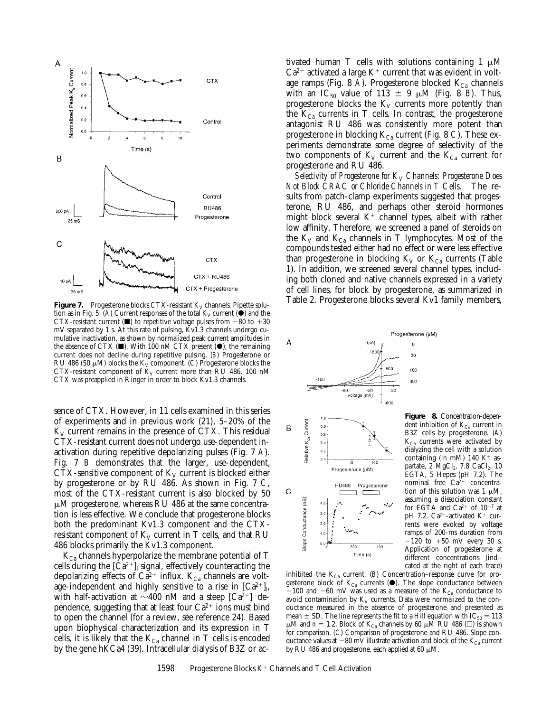

tion as in Fig. 5. (A) Current responses of the total  $K_V$  current ( $\bullet$ ) and the CTX-resistant current ( $\blacksquare$ ) to repetitive voltage pulses from  $-80$  to  $+30$ mV separated by 1 s. At this rate of pulsing, Kv1.3 channels undergo cumulative inactivation, as shown by normalized peak current amplitudes in the absence of CTX  $(\blacksquare)$ . With 100 nM CTX present  $(\lozenge)$ , the remaining current does not decline during repetitive pulsing. (*B*) Progesterone or RU 486 (50  $\mu$ M) blocks the K<sub>V</sub> component. (*C*) Progesterone blocks the CTX-resistant component of  $K_V$  current more than RU 486. 100 nM CTX was preapplied in Ringer in order to block Kv1.3 channels.

sence of CTX. However, in 11 cells examined in this series of experiments and in previous work (21), 5–20% of the  $K_V$  current remains in the presence of CTX. This residual CTX-resistant current does not undergo use-dependent inactivation during repetitive depolarizing pulses (Fig. 7 *A*). Fig. 7 *B* demonstrates that the larger, use-dependent, CTX-sensitive component of  $K_V$  current is blocked either by progesterone or by RU 486. As shown in Fig. 7 *C*, most of the CTX-resistant current is also blocked by 50  $\mu$ M progesterone, whereas RU 486 at the same concentration is less effective. We conclude that progesterone blocks both the predominant Kv1.3 component and the CTXresistant component of  $K_V$  current in T cells, and that RU 486 blocks primarily the Kv1.3 component.

 $K_{Ca}$  channels hyperpolarize the membrane potential of T cells during the  $[Ca^{2+}]_i$  signal, effectively counteracting the depolarizing effects of  $Ca^{2+}$  influx.  $K_{Ca}$  channels are voltage-independent and highly sensitive to a rise in  $[Ca^{2+}]_i$ , with half-activation at  $\sim$ 400 nM and a steep [Ca<sup>2+</sup>]<sub>i</sub> dependence, suggesting that at least four  $Ca^{2+}$  ions must bind to open the channel (for a review, see reference 24). Based upon biophysical characterization and its expression in T cells, it is likely that the  $K_{Ca}$  channel in T cells is encoded by the gene hKCa4 (39). Intracellular dialysis of B3Z or ac-

tivated human T cells with solutions containing 1  $\mu$ M  $Ca^{2+}$  activated a large  $K^+$  current that was evident in voltage ramps (Fig. 8 A). Progesterone blocked  $K_{Ca}$  channels with an  $IC_{50}$  value of 113  $\pm$  9  $\mu$ M (Fig. 8 *B*). Thus, progesterone blocks the  $K_V$  currents more potently than the  $K_{Ca}$  currents in T cells. In contrast, the progesterone antagonist RU 486 was consistently more potent than progesterone in blocking  $K_{Ca}$  current (Fig. 8 *C*). These experiments demonstrate some degree of selectivity of the two components of  $K_V$  current and the  $K_{Ca}$  current for progesterone and RU 486.

*Selectivity of Progesterone for K<sub>V</sub> Channels: Progesterone Does Not Block CRAC or Chloride Channels in T Cells.* The results from patch-clamp experiments suggested that progesterone, RU 486, and perhaps other steroid hormones might block several  $K^+$  channel types, albeit with rather low affinity. Therefore, we screened a panel of steroids on the  $K_V$  and  $K_{Ca}$  channels in T lymphocytes. Most of the compounds tested either had no effect or were less effective than progesterone in blocking  $K_V$  or  $K_{Ca}$  currents (Table 1). In addition, we screened several channel types, including both cloned and native channels expressed in a variety of cell lines, for block by progesterone, as summarized in **Figure 7.** Progesterone blocks CTX-resistant K<sub>V</sub> channels. Pipette solu-<br>
Table 2. Progesterone blocks several Kv1 family members,



200

 $Time(s)$ 

400

 $4.0$  $3.0$  $2.0$ 

Figure 8. Concentration-dependent inhibition of  $K_{Ca}$  current in B3Z cells by progesterone. (*A*)  $K_{Ca}$  currents were activated by dialyzing the cell with a solution containing (in mM) 140 K<sup>+</sup> aspartate,  $2 \text{ MgCl}_2$ ,  $7.8 \text{ CaCl}_2$ ,  $10$ EGTA, 5 Hepes (pH 7.2). The nominal free  $Ca^{2+}$  concentration of this solution was  $1 \mu M$ , assuming a dissociation constant for EGTA and  $Ca^{2+}$  of  $10^{-7}$  at pH 7.2.  $Ca^{2+}$ -activated  $K^+$  currents were evoked by voltage ramps of 200-ms duration from  $-120$  to  $+50$  mV every 30 s. Application of progesterone at different concentrations (indicated at the right of each trace)

inhibited the  $K_{Ca}$  current. (*B*) Concentration–response curve for progesterone block of  $K_{Ca}$  currents ( $\bullet$ ). The slope conductance between  $-100$  and  $-60$  mV was used as a measure of the K<sub>Ca</sub> conductance to avoid contamination by  $K_V$  currents. Data were normalized to the conductance measured in the absence of progesterone and presented as mean  $\pm$  SD. The line represents the fit to a Hill equation with IC<sub>50</sub> = 113  $\mu$ M and *n* = 1.2. Block of K<sub>Ca</sub> channels by 60  $\mu$ M RU 486 ( $\square$ ) is shown for comparison. (*C*) Comparison of progesterone and RU 486. Slope conductance values at  $-80$  mV illustrate activation and block of the K<sub>Ca</sub> current by RU 486 and progesterone, each applied at 60  $\mu$ M.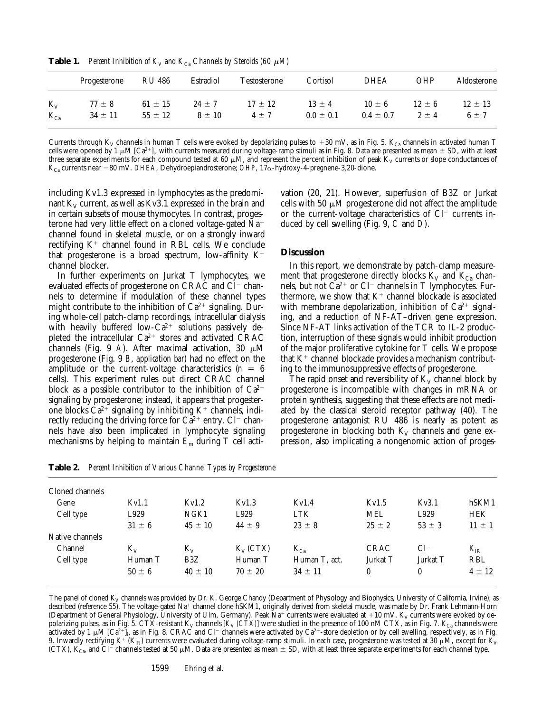**Table 1.** *Percent Inhibition of*  $K_V$  and  $K_{Ca}$  *Channels by Steroids (60*  $\mu$ *M)* 

|          | Progesterone | RU 486      | Estradiol  | Testosterone | Cortisol      | <b>DHEA</b>   | OHP        | Aldosterone |
|----------|--------------|-------------|------------|--------------|---------------|---------------|------------|-------------|
| $K_V$    | $77 \pm 8$   | $61 \pm 15$ | $24 \pm 7$ | $17 \pm 12$  | $13 \pm 4$    | $10 \pm 6$    | $12 \pm 6$ | $12 \pm 13$ |
| $K_{Ca}$ | $34 \pm 11$  | $55 \pm 12$ | $8 \pm 10$ | $4 + 7$      | $0.0 \pm 0.1$ | $0.4 \pm 0.7$ | $2 + 4$    | $6 + 7$     |

Currents through K<sub>V</sub> channels in human T cells were evoked by depolarizing pulses to +30 mV, as in Fig. 5. K<sub>Ca</sub> channels in activated human T cells were opened by 1 µM [Ca<sup>2+</sup>]<sub>i</sub>, with currents measured during voltage-ramp stimuli as in Fig. 8. Data are presented as mean  $\pm$  SD, with at least three separate experiments for each compound tested at 60  $\mu$ M, and represent the percent inhibition of peak  $K_V$  currents or slope conductances of K<sub>Ca</sub> currents near -80 mV. *DHEA*, Dehydroepiandrosterone; *OHP*, 17α-hydroxy-4-pregnene-3,20-dione.

including Kv1.3 expressed in lymphocytes as the predominant  $K_V$  current, as well as Kv3.1 expressed in the brain and in certain subsets of mouse thymocytes. In contrast, progesterone had very little effect on a cloned voltage-gated  $Na^+$ channel found in skeletal muscle, or on a strongly inward rectifying  $K^+$  channel found in RBL cells. We conclude that progesterone is a broad spectrum, low-affinity  $K^+$ channel blocker.

In further experiments on Jurkat T lymphocytes, we evaluated effects of progesterone on CRAC and  $Cl^-$  channels to determine if modulation of these channel types might contribute to the inhibition of  $Ca^{2+}$  signaling. During whole-cell patch-clamp recordings, intracellular dialysis with heavily buffered low- $Ca^{2+}$  solutions passively depleted the intracellular  $Ca^{2+}$  stores and activated CRAC channels (Fig. 9 *A*). After maximal activation, 30  $\mu$ M progesterone (Fig. 9 *B*, *application bar*) had no effect on the amplitude or the current-voltage characteristics  $(n = 6)$ cells). This experiment rules out direct CRAC channel block as a possible contributor to the inhibition of  $Ca^{2+}$ signaling by progesterone; instead, it appears that progesterone blocks  $Ca^{2+}$  signaling by inhibiting  $K^+$  channels, indirectly reducing the driving force for  $Ca^{2+}$  entry.  $Cl^-$  channels have also been implicated in lymphocyte signaling mechanisms by helping to maintain *E*m during T cell acti-

vation (20, 21). However, superfusion of B3Z or Jurkat cells with 50  $\mu$ M progesterone did not affect the amplitude or the current-voltage characteristics of  $Cl^-$  currents induced by cell swelling (Fig. 9, *C* and *D*).

## **Discussion**

In this report, we demonstrate by patch-clamp measurement that progesterone directly blocks  $K_V$  and  $K_{Ca}$  channels, but not  $\bar{Ca}^{2+}$  or Cl<sup>-</sup> channels in T lymphocytes. Furthermore, we show that  $K^+$  channel blockade is associated with membrane depolarization, inhibition of  $Ca^{2+}$  signaling, and a reduction of NF-AT–driven gene expression. Since NF-AT links activation of the TCR to IL-2 production, interruption of these signals would inhibit production of the major proliferative cytokine for T cells. We propose that  $K^+$  channel blockade provides a mechanism contributing to the immunosuppressive effects of progesterone.

The rapid onset and reversibility of  $K_V$  channel block by progesterone is incompatible with changes in mRNA or protein synthesis, suggesting that these effects are not mediated by the classical steroid receptor pathway (40). The progesterone antagonist RU 486 is nearly as potent as progesterone in blocking both  $K_V$  channels and gene expression, also implicating a nongenomic action of proges-

|                 | $\boldsymbol{v}$ is |             |               |             |            |            |  |  |  |  |  |  |  |
|-----------------|---------------------|-------------|---------------|-------------|------------|------------|--|--|--|--|--|--|--|
| Cloned channels |                     |             |               |             |            |            |  |  |  |  |  |  |  |
| Kv1.1           | Kv1.2               | Kv1.3       | Kv1.4         | Kv1.5       | Kv3.1      | hSKM1      |  |  |  |  |  |  |  |
| L929            | NGK1                | L929        | <b>LTK</b>    | <b>MEL</b>  | L929       | <b>HEK</b> |  |  |  |  |  |  |  |
| $31 \pm 6$      | $45 \pm 10$         | $44 \pm 9$  | $23 \pm 8$    | $25 \pm 2$  | $53 \pm 3$ | $11 \pm 1$ |  |  |  |  |  |  |  |
|                 |                     |             |               |             |            |            |  |  |  |  |  |  |  |
| $K_V$           | $K_V$               | $K_V$ (CTX) | $K_{Ca}$      | <b>CRAC</b> | $Cl^-$     | $K_{IR}$   |  |  |  |  |  |  |  |
| Human T         | B3Z                 | Human T     | Human T, act. | Jurkat T    | Jurkat T   | <b>RBL</b> |  |  |  |  |  |  |  |
| $50 \pm 6$      | $40 \pm 10$         | $70 \pm 20$ | $34 \pm 11$   | $\theta$    | 0          | $4 \pm 12$ |  |  |  |  |  |  |  |
|                 |                     |             |               |             |            |            |  |  |  |  |  |  |  |

**Table 2.** *Percent Inhibition of Various Channel Types by Progesterone*

The panel of cloned K<sub>V</sub> channels was provided by Dr. K. George Chandy (Department of Physiology and Biophysics, University of California, Irvine), as described (reference 55). The voltage-gated Na<sup>+</sup> channel clone hSKM1, originally derived from skeletal muscle, was made by Dr. Frank Lehmann-Horn (Department of General Physiology, University of Ulm, Germany). Peak Na<sup>+</sup> currents were evaluated at +10 mV. K<sub>V</sub> currents were evoked by depolarizing pulses, as in Fig. 5. CTX-resistant K<sub>V</sub> channels  $[K_V (CTX)]$  were studied in the presence of 100 nM CTX, as in Fig. 7. K<sub>Ca</sub> channels were activated by 1 µM [Ca<sup>2+</sup>]<sub>i</sub>, as in Fig. 8. CRAC and Cl<sup>–</sup> channels were activated by Ca<sup>2+</sup>-store depletion or by cell swelling, respectively, as in Fig. 9. Inwardly rectifying K<sup>+</sup> (K<sub>IR</sub>) currents were evaluated during voltage-ramp stimuli. In each case, progesterone was tested at 30  $\mu$ M, except for K<sub>V</sub> (CTX),  $K_{Ca}$ , and Cl<sup>-</sup> channels tested at 50  $\mu$ M. Data are presented as mean  $\pm$  SD, with at least three separate experiments for each channel type.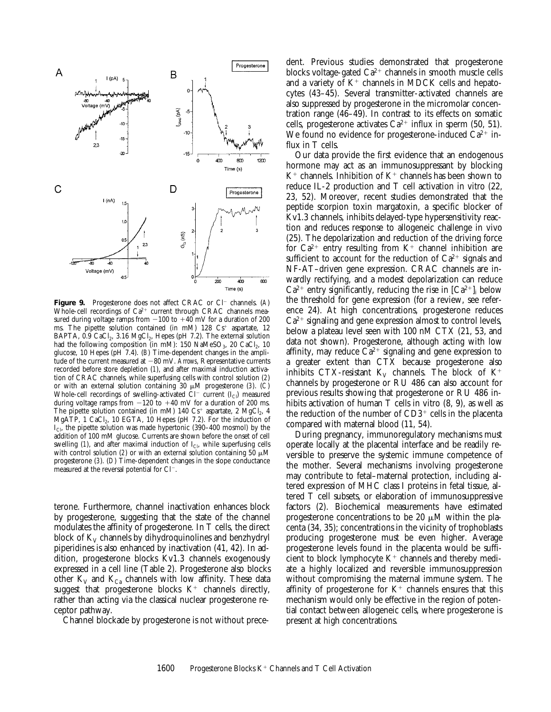

**Figure 9.** Progesterone does not affect CRAC or Cl<sup>-</sup> channels. (*A*) Whole-cell recordings of Ca<sup>2+</sup> current through CRAC channels measured during voltage ramps from  $-100$  to  $+40$  mV for a duration of 200 ms. The pipette solution contained (in mM)  $128 \text{ Cs}^+$  aspartate,  $12$ BAPTA,  $0.9$  CaCl<sub>2</sub>,  $3.16$  MgCl<sub>2</sub>, Hepes (pH 7.2). The external solution had the following composition (in mM):  $150$  NaMeSO<sub>3</sub>,  $20$  CaCl<sub>2</sub>,  $10$ glucose, 10 Hepes (pH 7.4). (*B*) Time-dependent changes in the amplitude of the current measured at -80 mV. Arrows, Representative currents recorded before store depletion (*1*), and after maximal induction activation of CRAC channels, while superfusing cells with control solution (*2*) or with an external solution containing 30 mM progesterone (*3*). (*C*) Whole-cell recordings of swelling-activated  $Cl^-$  current  $(I_{Cl})$  measured during voltage ramps from  $-120$  to  $+40$  mV for a duration of 200 ms. The pipette solution contained (in mM) 140  $Cs^+$  aspartate, 2 MgCl<sub>2</sub>, 4 MgATP, 1 CaCl<sub>2</sub>, 10 EGTA, 10 Hepes (pH 7.2). For the induction of  $I_{\text{Cl}}$ , the pipette solution was made hypertonic (390–400 mosmol) by the addition of 100 mM glucose. Currents are shown before the onset of cell swelling  $(1)$ , and after maximal induction of  $I_{Cl}$ , while superfusing cells with control solution (*2*) or with an external solution containing 50  $\mu$ M progesterone (*3*). (*D*) Time-dependent changes in the slope conductance measured at the reversal potential for  $Cl^-$ .

terone. Furthermore, channel inactivation enhances block by progesterone, suggesting that the state of the channel modulates the affinity of progesterone. In T cells, the direct block of  $K_V$  channels by dihydroquinolines and benzhydryl piperidines is also enhanced by inactivation (41, 42). In addition, progesterone blocks Kv1.3 channels exogenously expressed in a cell line (Table 2). Progesterone also blocks other  $K_V$  and  $K_{Ca}$  channels with low affinity. These data suggest that progesterone blocks  $K^+$  channels directly, rather than acting via the classical nuclear progesterone receptor pathway.

Channel blockade by progesterone is not without prece-

dent. Previous studies demonstrated that progesterone blocks voltage-gated  $Ca^{2+}$  channels in smooth muscle cells and a variety of  $K^+$  channels in MDCK cells and hepatocytes (43–45). Several transmitter-activated channels are also suppressed by progesterone in the micromolar concentration range (46–49). In contrast to its effects on somatic cells, progesterone activates  $Ca^{2+}$  influx in sperm (50, 51). We found no evidence for progesterone-induced  $Ca^{2+}$  influx in T cells.

Our data provide the first evidence that an endogenous hormone may act as an immunosuppressant by blocking  $K^+$  channels. Inhibition of  $K^+$  channels has been shown to reduce IL-2 production and T cell activation in vitro (22, 23, 52). Moreover, recent studies demonstrated that the peptide scorpion toxin margatoxin, a specific blocker of Kv1.3 channels, inhibits delayed-type hypersensitivity reaction and reduces response to allogeneic challenge in vivo (25). The depolarization and reduction of the driving force for  $Ca^{2+}$  entry resulting from  $K^+$  channel inhibition are sufficient to account for the reduction of  $Ca^{2+}$  signals and NF-AT–driven gene expression. CRAC channels are inwardly rectifying, and a modest depolarization can reduce  $Ca^{2+}$  entry significantly, reducing the rise in  $[Ca^{2+}]_i$  below the threshold for gene expression (for a review, see reference 24). At high concentrations, progesterone reduces  $Ca<sup>2+</sup>$  signaling and gene expression almost to control levels, below a plateau level seen with 100 nM CTX (21, 53, and data not shown). Progesterone, although acting with low affinity, may reduce  $\overline{Ca^{2+}}$  signaling and gene expression to a greater extent than CTX because progesterone also inhibits CTX-resistant  $K_V$  channels. The block of  $K^+$ channels by progesterone or RU 486 can also account for previous results showing that progesterone or RU 486 inhibits activation of human T cells in vitro (8, 9), as well as the reduction of the number of  $CD3<sup>+</sup>$  cells in the placenta compared with maternal blood (11, 54).

During pregnancy, immunoregulatory mechanisms must operate locally at the placental interface and be readily reversible to preserve the systemic immune competence of the mother. Several mechanisms involving progesterone may contribute to fetal–maternal protection, including altered expression of MHC class I proteins in fetal tissue, altered T cell subsets, or elaboration of immunosuppressive factors (2). Biochemical measurements have estimated progesterone concentrations to be 20  $\mu$ M within the placenta (34, 35); concentrations in the vicinity of trophoblasts producing progesterone must be even higher. Average progesterone levels found in the placenta would be sufficient to block lymphocyte  $K^+$  channels and thereby mediate a highly localized and reversible immunosuppression without compromising the maternal immune system. The affinity of progesterone for  $K^+$  channels ensures that this mechanism would only be effective in the region of potential contact between allogeneic cells, where progesterone is present at high concentrations.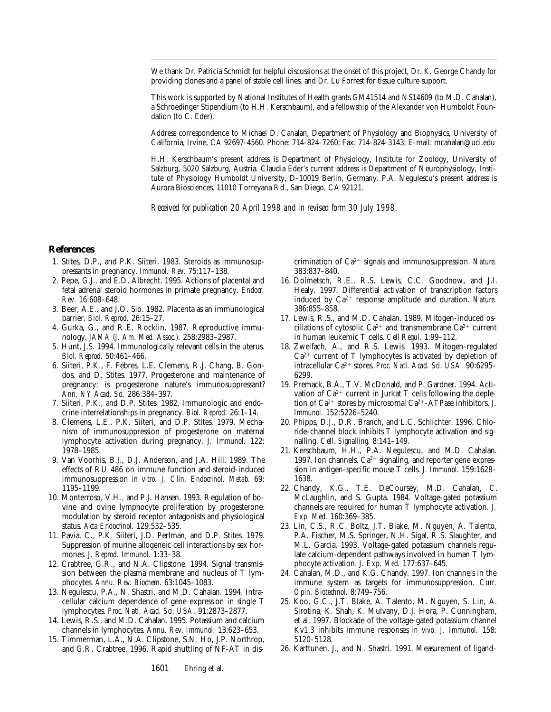We thank Dr. Patricia Schmidt for helpful discussions at the onset of this project, Dr. K. George Chandy for providing clones and a panel of stable cell lines, and Dr. Lu Forrest for tissue culture support.

This work is supported by National Institutes of Health grants GM41514 and NS14609 (to M.D. Cahalan), a Schroedinger Stipendium (to H.H. Kerschbaum), and a fellowship of the Alexander von Humboldt Foundation (to C. Eder).

Address correspondence to Michael D. Cahalan, Department of Physiology and Biophysics, University of California, Irvine, CA 92697-4560. Phone: 714-824-7260; Fax: 714-824-3143; E-mail: mcahalan@uci.edu

H.H. Kerschbaum's present address is Department of Physiology, Institute for Zoology, University of Salzburg, 5020 Salzburg, Austria. Claudia Eder's current address is Department of Neurophysiology, Institute of Physiology Humboldt University, D-10019 Berlin, Germany. P.A. Negulescu's present address is Aurora Biosciences, 11010 Torreyana Rd., San Diego, CA 92121.

*Received for publication 20 April 1998 and in revised form 30 July 1998.*

## **References**

- 1. Stites, D.P., and P.K. Siiteri. 1983. Steroids as immunosuppressants in pregnancy. *Immunol. Rev.* 75:117–138.
- 2. Pepe, G.J., and E.D. Albrecht. 1995. Actions of placental and fetal adrenal steroid hormones in primate pregnancy. *Endocr. Rev.* 16:608–648.
- 3. Beer, A.E., and J.O. Sio. 1982. Placenta as an immunological barrier. *Biol. Reprod.* 26:15–27.
- 4. Gurka, G., and R.E. Rocklin. 1987. Reproductive immunology. *JAMA (J. Am. Med. Assoc.).* 258:2983–2987.
- 5. Hunt, J.S. 1994. Immunologically relevant cells in the uterus. *Biol. Reprod.* 50:461–466.
- 6. Siiteri, P.K., F. Febres, L.E. Clemens, R.J. Chang, B. Gondos, and D. Stites. 1977. Progesterone and maintenance of pregnancy: is progesterone nature's immunosuppressant? *Ann. NY Acad. Sci.* 286:384–397.
- 7. Siiteri, P.K., and D.P. Stites. 1982. Immunologic and endocrine interrelationships in pregnancy. *Biol. Reprod.* 26:1–14.
- 8. Clemens, L.E., P.K. Siiteri, and D.P. Stites. 1979. Mechanism of immunosuppression of progesterone on maternal lymphocyte activation during pregnancy. *J. Immunol.* 122: 1978–1985.
- 9. Van Voorhis, B.J., D.J. Anderson, and J.A. Hill. 1989. The effects of RU 486 on immune function and steroid-induced immunosuppression *in vitro. J. Clin. Endocrinol. Metab.* 69: 1195–1199.
- 10. Monterroso, V.H., and P.J. Hansen. 1993. Regulation of bovine and ovine lymphocyte proliferation by progesterone: modulation by steroid receptor antagonists and physiological status. *Acta Endocrinol.* 129:532–535.
- 11. Pavia, C., P.K. Siiteri, J.D. Perlman, and D.P. Stites. 1979. Suppression of murine allogeneic cell interactions by sex hormones. *J. Reprod. Immunol.* 1:33–38.
- 12. Crabtree, G.R., and N.A. Clipstone. 1994. Signal transmission between the plasma membrane and nucleus of T lymphocytes. *Annu. Rev. Biochem.* 63:1045–1083.
- 13. Negulescu, P.A., N. Shastri, and M.D. Cahalan. 1994. Intracellular calcium dependence of gene expression in single T lymphocytes. *Proc. Natl. Acad. Sci. USA.* 91:2873–2877.
- 14. Lewis, R.S., and M.D. Cahalan. 1995. Potassium and calcium channels in lymphocytes. *Annu. Rev. Immunol.* 13:623–653.
- 15. Timmerman, L.A., N.A. Clipstone, S.N. Ho, J.P. Northrop, and G.R. Crabtree. 1996. Rapid shuttling of NF-AT in dis-

crimination of Ca<sup>2+</sup> signals and immunosuppression. Nature. 383:837–840.

- 16. Dolmetsch, R.E., R.S. Lewis, C.C. Goodnow, and J.I. Healy. 1997. Differential activation of transcription factors induced by Ca<sup>2+</sup> response amplitude and duration. Nature. 386:855–858.
- 17. Lewis, R.S., and M.D. Cahalan. 1989. Mitogen-induced oscillations of cytosolic  $Ca^{2+}$  and transmembrane  $Ca^{2+}$  current in human leukemic T cells. *Cell Regul.* 1:99–112.
- 18. Zweifach, A., and R.S. Lewis. 1993. Mitogen-regulated  $Ca<sup>2+</sup>$  current of T lymphocytes is activated by depletion of intracellular Ca<sup>2+</sup> stores. Proc. Natl. Acad. Sci. USA. 90:6295-6299.
- 19. Premack, B.A., T.V. McDonald, and P. Gardner. 1994. Activation of  $Ca^{2+}$  current in Jurkat T cells following the depletion of  $Ca^{2+}$  stores by microsomal  $Ca^{2+}-ATP$ ase inhibitors. *J. Immunol.* 152:5226–5240.
- 20. Phipps, D.J., D.R. Branch, and L.C. Schlichter. 1996. Chloride-channel block inhibits T lymphocyte activation and signalling. *Cell. Signalling.* 8:141–149.
- 21. Kerschbaum, H.H., P.A. Negulescu, and M.D. Cahalan. 1997. Ion channels,  $Ca^{2+}$  signaling, and reporter gene expression in antigen-specific mouse T cells. *J. Immunol.* 159:1628– 1638.
- 22. Chandy, K.G., T.E. DeCoursey, M.D. Cahalan, C. McLaughlin, and S. Gupta. 1984. Voltage-gated potassium channels are required for human T lymphocyte activation. *J. Exp. Med.* 160:369–385.
- 23. Lin, C.S., R.C. Boltz, J.T. Blake, M. Nguyen, A. Talento, P.A. Fischer, M.S. Springer, N.H. Sigal, R.S. Slaughter, and M.L. Garcia. 1993. Voltage-gated potassium channels regulate calcium-dependent pathways involved in human T lymphocyte activation. *J. Exp. Med.* 177:637–645.
- 24. Cahalan, M.D., and K.G. Chandy. 1997. Ion channels in the immune system as targets for immunosuppression. *Curr. Opin. Biotechnol.* 8:749–756.
- 25. Koo, G.C., J.T. Blake, A. Talento, M. Nguyen, S. Lin, A. Sirotina, K. Shah, K. Mulvany, D.J. Hora, P. Cunningham, et al. 1997. Blockade of the voltage-gated potassium channel Kv1.3 inhibits immune responses *in vivo. J. Immunol.* 158: 5120–5128.
- 26. Karttunen, J., and N. Shastri. 1991. Measurement of ligand-